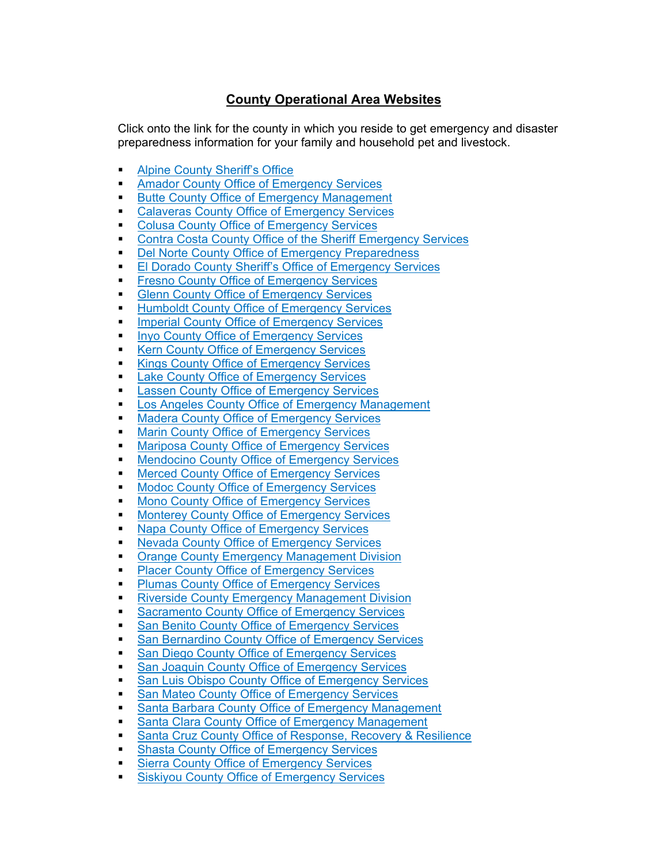## **County Operational Area Websites**

Click onto the link for the county in which you reside to get emergency and disaster preparedness information for your family and household pet and livestock.

- **[Alpine County Sheriff's Office](http://www.alpinecountyca.gov/204/Sheriff)**
- **[Amador County Office of Emergency Services](https://www.amadorgov.org/departments/office-of-emergency-services)**
- **[Butte County Office of Emergency Management](https://www.buttecounty.net/oem/)**
- **[Calaveras County Office of Emergency Services](https://oes.calaverasgov.us/)**
- **[Colusa County Office of Emergency Services](https://countyofcolusa.org/174/Emergency-Services)**
- [Contra Costa County Office of the Sheriff Emergency Services](https://www.cocosheriff.org/disaster-preparedness/emergency-services-division)
- [Del Norte County Office of Emergency Preparedness](https://www.co.del-norte.ca.us/departments/EmergencyServices)
- **[El Dorado County Sheriff's Office of Emergency Services](https://www.edcgov.us/Government/sheriff/Support/Pages/office_of_emergency_services_(oes).aspx)**
- **[Fresno County Office of Emergency Services](https://www.co.fresno.ca.us/departments/public-health/office-of-emergency-services-oes)**
- **Glenn County Office [of Emergency Services](https://www.countyofglenn.net/dept/sheriff/office-emergency-services/welcome)**
- **[Humboldt County Office of Emergency Services](https://humboldtgov.org/356/Office-of-Emergency-Services)**
- **[Imperial County Office of Emergency Services](https://firedept.imperialcounty.org/office-of-emergency-services-oes/)**
- **[Inyo County Office of Emergency Services](https://www.inyocounty.us/services/emergency-services)**
- **[Kern County Office of Emergency Services](https://www.kerncounty.com/community/emergency)**
- **[Kings County Office of Emergency Services](https://www.countyofkings.com/departments/emergency-preparedness)**
- **[Lake County Office of Emergency Services](http://www.lakesheriff.com/About/OES.htm)**
- **[Lassen County Office of Emergency Services](http://www.lassencounty.org/dept/office-emergency-services/office-emergency-services)**
- **[Los Angeles County Office of Emergency Management](https://ceo.lacounty.gov/emergency-management/)**
- **[Madera County Office of Emergency Services](https://www.maderacounty.com/government/sheriff/office-of-emergency-services)**
- **[Marin County Office of Emergency Services](https://www.marinsheriff.org/about-us/field-service-bureau/office-of-emergency-services)**
- **[Mariposa County Office of Emergency Services](https://www.mariposacounty.org/1795/Office-of-Emergency-Services)**
- **[Mendocino County Office of Emergency Services](https://www.mendocinocounty.org/government/executive-office/office-of-emergency-services)**
- **[Merced County Office of Emergency Services](https://www.co.merced.ca.us/1599/Office-of-Emergency-Services)**
- **[Modoc County Office of Emergency Services](https://www.modocsheriff.us/office-emergency-services)**
- **[Mono County Office of Emergency Services](https://monosheriff.org/sheriff/page/emergency-services)**
- **[Monterey County Office of Emergency Services](https://www.co.monterey.ca.us/government/departments-a-h/administrative-office/office-of-emergency-services)**
- **[Napa County Office of](https://www.countyofnapa.org/353/Emergency-Services) Emergency Services**
- **[Nevada County Office of Emergency Services](https://www.mynevadacounty.com/1241/About)**
- **[Orange County Emergency Management Division](https://ocsheriff.gov/commands-divisions/investigations-special-operations-command/emergency-management)**
- **[Placer County Office of Emergency Services](https://www.placer.ca.gov/5852/Ready-Placer)**
- **[Plumas County Office of Emergency Services](https://www.plumascounty.us/88/Office-of-Emergency-Services)**
- **[Riverside County Emergency Management Division](https://rivcoemd.org/)**
- **[Sacramento County Office of Emergency Services](https://sacoes.saccounty.net/EmergencyManagement/Pages/default.aspx)**
- **[San Benito County Office of Emergency Services](https://www.cosb.us/departments/office-of-emergency-services-oes-and-emergency-medical-services)**
- **[San Bernardino County Office of Emergency Services](https://sbcfire.org/oes/)**
- **[San Diego County Office of Emergency Services](https://www.sandiegocounty.gov/oes/)**
- **[San Joaquin County Office of Emergency Services](https://www.sjgov.org/department/oes/)**
- **[San Luis Obispo County Office of Emergency Services](https://www.slocounty.ca.gov/Departments/Administrative-Office/Emergency-Management/Contact-us.aspx)**
- **[San Mateo County Office of Emergency Services](https://www.smcfire.org/office-of-emergency-services)**
- [Santa Barbara County Office of Emergency Management](https://www.countyofsb.org/ceo/sbcoem.sbc)
- **[Santa Clara County Office of Emergency Management](https://emergencymanagement.sccgov.org/home)**
- **[Santa Cruz County Office of Response, Recovery & Resilience](https://www.co.santa-cruz.ca.us/OR3.aspx)**
- [Shasta County Office of Emergency Services](https://www.co.shasta.ca.us/index/sheriff/oes)
- **[Sierra County Office of Emergency Services](https://www.sierracounty.ca.gov/223/Emergency-Services)**
- **[Siskiyou County Office of Emergency Services](https://www.co.siskiyou.ca.us/emergencyservices)**